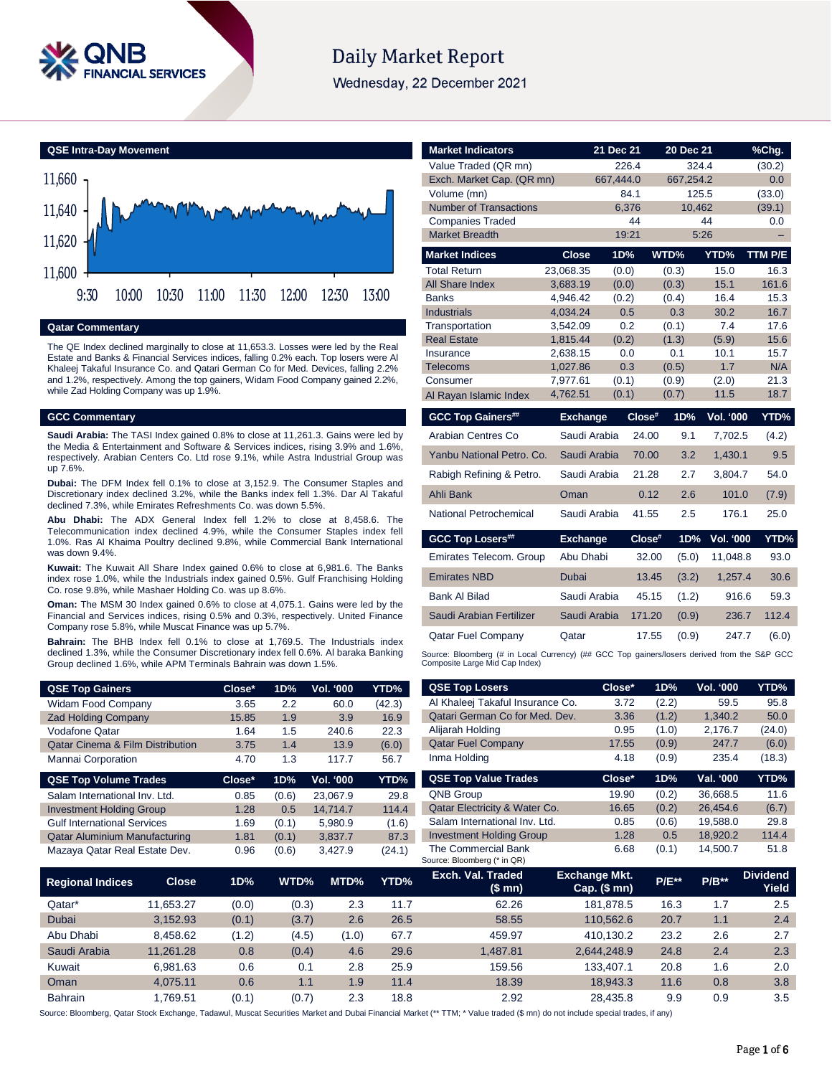

# **Daily Market Report**

Wednesday, 22 December 2021

# **QSE Intra-Day Movement**



#### **Qatar Commentary**

The QE Index declined marginally to close at 11,653.3. Losses were led by the Real Estate and Banks & Financial Services indices, falling 0.2% each. Top losers were Al Khaleej Takaful Insurance Co. and Qatari German Co for Med. Devices, falling 2.2% and 1.2%, respectively. Among the top gainers, Widam Food Company gained 2.2%, while Zad Holding Company was up 1.9%.

#### **GCC Commentary**

**Saudi Arabia:** The TASI Index gained 0.8% to close at 11,261.3. Gains were led by the Media & Entertainment and Software & Services indices, rising 3.9% and 1.6%, respectively. Arabian Centers Co. Ltd rose 9.1%, while Astra Industrial Group was up 7.6%.

**Dubai:** The DFM Index fell 0.1% to close at 3,152.9. The Consumer Staples and Discretionary index declined 3.2%, while the Banks index fell 1.3%. Dar Al Takaful declined 7.3%, while Emirates Refreshments Co. was down 5.5%.

**Abu Dhabi:** The ADX General Index fell 1.2% to close at 8,458.6. The Telecommunication index declined 4.9%, while the Consumer Staples index fell 1.0%. Ras Al Khaima Poultry declined 9.8%, while Commercial Bank International was down 9.4%.

**Kuwait:** The Kuwait All Share Index gained 0.6% to close at 6,981.6. The Banks index rose 1.0%, while the Industrials index gained 0.5%. Gulf Franchising Holding Co. rose 9.8%, while Mashaer Holding Co. was up 8.6%.

**Oman:** The MSM 30 Index gained 0.6% to close at 4,075.1. Gains were led by the Financial and Services indices, rising 0.5% and 0.3%, respectively. United Finance Company rose 5.8%, while Muscat Finance was up 5.7%.

**Bahrain:** The BHB Index fell 0.1% to close at 1,769.5. The Industrials index declined 1.3%, while the Consumer Discretionary index fell 0.6%. Al baraka Banking Group declined 1.6%, while APM Terminals Bahrain was down 1.5%.

| <b>QSE Top Gainers</b>                      | Close* | 1D%   | Vol. '000        | YTD%   |
|---------------------------------------------|--------|-------|------------------|--------|
| <b>Widam Food Company</b>                   | 3.65   | 2.2   | 60.0             | (42.3) |
| <b>Zad Holding Company</b>                  | 15.85  | 1.9   | 3.9              | 16.9   |
| <b>Vodafone Qatar</b>                       | 1.64   | 1.5   | 240.6            | 22.3   |
| <b>Qatar Cinema &amp; Film Distribution</b> | 3.75   | 1.4   | 13.9             | (6.0)  |
| Mannai Corporation                          | 4.70   | 1.3   | 117.7            | 56.7   |
|                                             |        |       |                  |        |
| <b>QSE Top Volume Trades</b>                | Close* | 1D%   | <b>Vol. '000</b> | YTD%   |
| Salam International Inv. Ltd.               | 0.85   | (0.6) | 23,067.9         | 29.8   |
| <b>Investment Holding Group</b>             | 1.28   | 0.5   | 14.714.7         | 114.4  |
| <b>Gulf International Services</b>          | 1.69   | (0.1) | 5,980.9          | (1.6)  |
| <b>Qatar Aluminium Manufacturing</b>        | 1.81   | (0.1) | 3,837.7          | 87.3   |

| <b>Market Indicators</b>                                                                                                      |                      | 21 Dec 21 |            | 20 Dec 21    |                  | %Chg.       |
|-------------------------------------------------------------------------------------------------------------------------------|----------------------|-----------|------------|--------------|------------------|-------------|
| Value Traded (QR mn)                                                                                                          |                      |           | 226.4      | 324.4        |                  | (30.2)      |
| Exch. Market Cap. (QR mn)                                                                                                     |                      | 667,444.0 |            | 667,254.2    |                  | 0.0         |
| Volume (mn)                                                                                                                   |                      |           | 84.1       | 125.5        |                  | (33.0)      |
| <b>Number of Transactions</b>                                                                                                 |                      |           | 6.376      | 10.462       |                  | (39.1)      |
| <b>Companies Traded</b>                                                                                                       |                      |           | 44         |              | 44               | 0.0         |
| <b>Market Breadth</b>                                                                                                         |                      |           | 19:21      |              | 5:26             |             |
| <b>Market Indices</b>                                                                                                         | <b>Close</b>         | 1D%       |            | WTD%         | YTD%             | TTM P/E     |
| <b>Total Return</b>                                                                                                           | 23,068.35            | (0.0)     |            | (0.3)        | 15.0             | 16.3        |
| <b>All Share Index</b>                                                                                                        | 3,683.19             | (0.0)     |            | (0.3)        | 15.1             | 161.6       |
| <b>Banks</b>                                                                                                                  | 4,946.42             | (0.2)     |            | (0.4)        | 16.4             | 15.3        |
| <b>Industrials</b>                                                                                                            | 4,034.24             |           | 0.5        | 0.3          | 30.2             | 16.7        |
| Transportation                                                                                                                | 3,542.09             |           | 0.2        | (0.1)        | 7.4              | 17.6        |
| <b>Real Estate</b>                                                                                                            | 1,815.44             | (0.2)     |            | (1.3)        | (5.9)            | 15.6        |
| Insurance<br><b>Telecoms</b>                                                                                                  | 2,638.15<br>1,027.86 |           | 0.0<br>0.3 | 0.1<br>(0.5) | 10.1<br>1.7      | 15.7<br>N/A |
| Consumer                                                                                                                      | 7,977.61             | (0.1)     |            | (0.9)        | (2.0)            | 21.3        |
| Al Rayan Islamic Index                                                                                                        | 4.762.51             | (0.1)     |            | (0.7)        | 11.5             | 18.7        |
|                                                                                                                               |                      |           |            |              |                  |             |
| <b>GCC Top Gainers##</b>                                                                                                      | <b>Exchange</b>      |           | Close#     | 1D%          | <b>Vol. '000</b> | YTD%        |
| Arabian Centres Co                                                                                                            | Saudi Arabia         |           | 24.00      | 9.1          | 7,702.5          | (4.2)       |
| Yanbu National Petro, Co.                                                                                                     | Saudi Arabia         |           | 70.00      | 3.2          | 1,430.1          | 9.5         |
| Rabigh Refining & Petro.                                                                                                      | Saudi Arabia         |           | 21.28      | 2.7          | 3,804.7          | 54.0        |
| Ahli Bank                                                                                                                     | Oman                 |           | 0.12       | 2.6          | 101.0            | (7.9)       |
| National Petrochemical                                                                                                        | Saudi Arabia         |           | 41.55      | 2.5          | 176.1            | 25.0        |
| <b>GCC Top Losers##</b>                                                                                                       | <b>Exchange</b>      |           | Close#     | 1D%          | <b>Vol. '000</b> | YTD%        |
| Emirates Telecom. Group                                                                                                       | Abu Dhabi            |           | 32.00      | (5.0)        | 11,048.8         | 93.0        |
| <b>Emirates NBD</b>                                                                                                           | <b>Dubai</b>         |           | 13.45      | (3.2)        | 1,257.4          | 30.6        |
| <b>Bank Al Bilad</b>                                                                                                          | Saudi Arabia         |           | 45.15      | (1.2)        | 916.6            | 59.3        |
| Saudi Arabian Fertilizer                                                                                                      | Saudi Arabia         |           | 171.20     | (0.9)        | 236.7            | 112.4       |
| <b>Qatar Fuel Company</b>                                                                                                     | Qatar                |           | 17.55      | (0.9)        | 247.7            | (6.0)       |
| Source: Bloomberg (# in Local Currency) (## GCC Top gainers/losers derived from the S&P GCC<br>Composite Large Mid Cap Index) |                      |           |            |              |                  |             |

| <b>QSE Top Gainers</b>                      |                                                                                 | Close* | 1D%   | Vol. '000 | YTD%     | <b>QSE Top Losers</b>                              | Close*                                   | 1D%     | <b>Vol. '000</b> | YTD%                     |
|---------------------------------------------|---------------------------------------------------------------------------------|--------|-------|-----------|----------|----------------------------------------------------|------------------------------------------|---------|------------------|--------------------------|
| Widam Food Company                          |                                                                                 | 3.65   | 2.2   | 60.0      | (42.3)   | Al Khaleej Takaful Insurance Co.                   | 3.72                                     |         | 59.5             | 95.8                     |
| <b>Zad Holding Company</b>                  |                                                                                 | 15.85  | 1.9   | 3.9       | 16.9     | Qatari German Co for Med. Dev.                     | 3.36                                     | (1.2)   | 1,340.2          | 50.0                     |
| <b>Vodafone Qatar</b>                       |                                                                                 | 1.64   | 1.5   | 240.6     | 22.3     | Alijarah Holding                                   | 0.95                                     | (1.0)   | 2,176.7          | (24.0)                   |
| <b>Qatar Cinema &amp; Film Distribution</b> |                                                                                 | 3.75   | 1.4   | 13.9      | (6.0)    | <b>Qatar Fuel Company</b>                          | 17.55                                    | (0.9)   | 247.7            | (6.0)                    |
| Mannai Corporation                          |                                                                                 | 4.70   | 1.3   | 117.7     | 56.7     | Inma Holding                                       | 4.18                                     | (0.9)   | 235.4            | (18.3)                   |
| <b>QSE Top Volume Trades</b>                |                                                                                 | Close* | 1D%   | Vol. '000 | YTD%     | <b>QSE Top Value Trades</b>                        | Close*                                   | 1D%     | Val. '000        | YTD%                     |
|                                             | QNB Group<br>23,067.9<br>Salam International Inv. Ltd.<br>0.85<br>29.8<br>(0.6) |        | 19.90 | (0.2)     | 36,668.5 | 11.6                                               |                                          |         |                  |                          |
| <b>Investment Holding Group</b>             |                                                                                 | 1.28   | 0.5   | 14,714.7  | 114.4    | Qatar Electricity & Water Co.                      | 16.65                                    | (0.2)   | 26,454.6         | (6.7)                    |
| <b>Gulf International Services</b>          |                                                                                 | 1.69   | (0.1) | 5,980.9   | (1.6)    | Salam International Inv. Ltd.                      | 0.85                                     | (0.6)   | 19,588.0         | 29.8                     |
|                                             | <b>Qatar Aluminium Manufacturing</b>                                            |        | (0.1) | 3,837.7   | 87.3     | <b>Investment Holding Group</b>                    | 1.28                                     | 0.5     | 18,920.2         | 114.4                    |
| Mazaya Qatar Real Estate Dev.               |                                                                                 | 0.96   | (0.6) | 3,427.9   | (24.1)   | The Commercial Bank<br>Source: Bloomberg (* in QR) | 6.68                                     | (0.1)   | 14,500.7         | 51.8                     |
| <b>Regional Indices</b>                     | <b>Close</b>                                                                    | 1D%    | WTD%  | MTD%      | YTD%     | Exch. Val. Traded<br>(\$ mn)                       | <b>Exchange Mkt.</b><br>Cap. $($$ mn $)$ | $P/E**$ | $P/B**$          | <b>Dividend</b><br>Yield |
| Qatar*                                      | 11,653.27                                                                       | (0.0)  | (0.3) | 2.3       | 11.7     | 62.26                                              | 181,878.5                                | 16.3    | 1.7              | 2.5                      |
| Dubai                                       | 3,152.93                                                                        | (0.1)  | (3.7) | 2.6       | 26.5     | 58.55                                              | 110,562.6                                | 20.7    | 1.1              | 2.4                      |
| Abu Dhabi                                   | 8,458.62                                                                        | (1.2)  | (4.5) | (1.0)     | 67.7     | 459.97                                             | 410,130.2                                | 23.2    | 2.6              | 2.7                      |
| Saudi Arabia                                | 11,261.28                                                                       | 0.8    | (0.4) | 4.6       | 29.6     | 1,487.81                                           | 2,644,248.9                              | 24.8    | 2.4              | 2.3                      |
| Kuwait                                      | 6,981.63                                                                        | 0.6    | 0.1   | 2.8       | 25.9     | 159.56                                             | 133,407.1                                | 20.8    | 1.6              | 2.0                      |

Source: Bloomberg, Qatar Stock Exchange, Tadawul, Muscat Securities Market and Dubai Financial Market (\*\* TTM; \* Value traded (\$ mn) do not include special trades, if any)

Oman 4,075.11 0.6 1.1 1.9 11.4 18.39 18,943.3 11.6 0.8 3.8 Bahrain 1,769.51 (0.1) (0.7) 2.3 18.8 2.92 28,435.8 9.9 0.9 3.5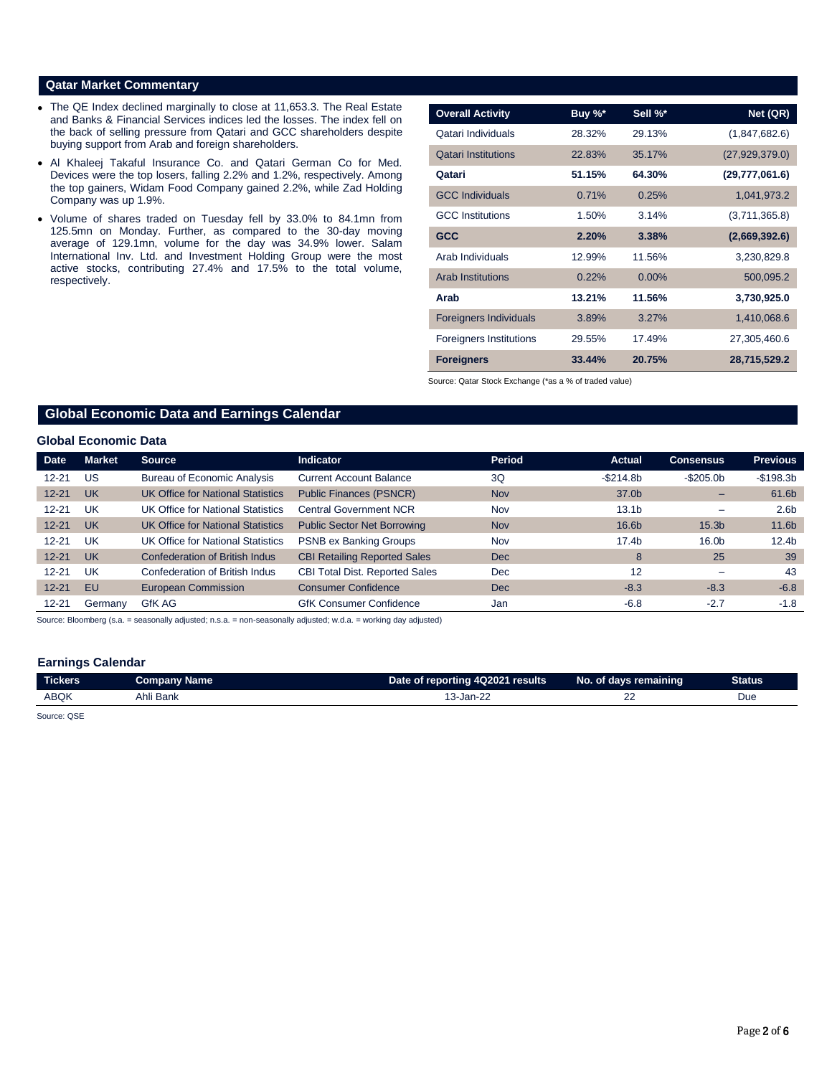# **Qatar Market Commentary**

- The QE Index declined marginally to close at 11,653.3. The Real Estate and Banks & Financial Services indices led the losses. The index fell on the back of selling pressure from Qatari and GCC shareholders despite buying support from Arab and foreign shareholders.
- Al Khaleej Takaful Insurance Co. and Qatari German Co for Med. Devices were the top losers, falling 2.2% and 1.2%, respectively. Among the top gainers, Widam Food Company gained 2.2%, while Zad Holding Company was up 1.9%.
- Volume of shares traded on Tuesday fell by 33.0% to 84.1mn from 125.5mn on Monday. Further, as compared to the 30-day moving average of 129.1mn, volume for the day was 34.9% lower. Salam International Inv. Ltd. and Investment Holding Group were the most active stocks, contributing 27.4% and 17.5% to the total volume, respectively.

| <b>Overall Activity</b>        | Buy %* | Sell %*  | Net (QR)         |
|--------------------------------|--------|----------|------------------|
| Qatari Individuals             | 28.32% | 29.13%   | (1,847,682.6)    |
| <b>Qatari Institutions</b>     | 22.83% | 35.17%   | (27, 929, 379.0) |
| Qatari                         | 51.15% | 64.30%   | (29, 777, 061.6) |
| <b>GCC Individuals</b>         | 0.71%  | 0.25%    | 1,041,973.2      |
| <b>GCC</b> Institutions        | 1.50%  | 3.14%    | (3,711,365.8)    |
| <b>GCC</b>                     | 2.20%  | 3.38%    | (2,669,392.6)    |
| Arab Individuals               | 12.99% | 11.56%   | 3,230,829.8      |
| <b>Arab Institutions</b>       | 0.22%  | $0.00\%$ | 500,095.2        |
| Arab                           | 13.21% | 11.56%   | 3,730,925.0      |
| <b>Foreigners Individuals</b>  | 3.89%  | 3.27%    | 1,410,068.6      |
| <b>Foreigners Institutions</b> | 29.55% | 17.49%   | 27,305,460.6     |
| <b>Foreigners</b>              | 33.44% | 20.75%   | 28,715,529.2     |

Source: Qatar Stock Exchange (\*as a % of traded value)

# **Global Economic Data and Earnings Calendar**

#### **Global Economic Data**

| <b>Date</b> | <b>Market</b> | Source                                   | <b>Indicator</b>                      | Period     | <b>Actual</b>     | <b>Consensus</b>  | <b>Previous</b>   |
|-------------|---------------|------------------------------------------|---------------------------------------|------------|-------------------|-------------------|-------------------|
| $12 - 21$   | US            | <b>Bureau of Economic Analysis</b>       | <b>Current Account Balance</b>        | 3Q         | $-$ \$214.8b      | $-$ \$205.0b      | $-$198.3b$        |
| $12 - 21$   | <b>UK</b>     | <b>UK Office for National Statistics</b> | <b>Public Finances (PSNCR)</b>        | <b>Nov</b> | 37.0b             |                   | 61.6b             |
| $12 - 21$   | UK            | UK Office for National Statistics        | <b>Central Government NCR</b>         | Nov        | 13.1 <sub>b</sub> |                   | 2.6 <sub>b</sub>  |
| $12 - 21$   | <b>UK</b>     | UK Office for National Statistics        | <b>Public Sector Net Borrowing</b>    | <b>Nov</b> | 16.6b             | 15.3 <sub>b</sub> | 11.6 <sub>b</sub> |
| $12 - 21$   | UK            | UK Office for National Statistics        | <b>PSNB ex Banking Groups</b>         | Nov        | 17.4b             | 16.0b             | 12.4 <sub>b</sub> |
| $12 - 21$   | <b>UK</b>     | Confederation of British Indus           | <b>CBI Retailing Reported Sales</b>   | Dec        | 8                 | 25                | 39                |
| $12 - 21$   | UK            | Confederation of British Indus           | <b>CBI Total Dist. Reported Sales</b> | Dec        | 12                |                   | 43                |
| $12 - 21$   | EU            | European Commission                      | <b>Consumer Confidence</b>            | Dec        | $-8.3$            | $-8.3$            | $-6.8$            |
| $12 - 21$   | Germany       | GfK AG                                   | <b>GfK Consumer Confidence</b>        | Jan        | $-6.8$            | $-2.7$            | $-1.8$            |

Source: Bloomberg (s.a. = seasonally adjusted; n.s.a. = non-seasonally adjusted; w.d.a. = working day adjusted)

#### **Earnings Calendar**

| Tickers     | <b>Company Name</b> | Date of reporting 4Q2021 results | No. of days remaining | <b>Status</b> |
|-------------|---------------------|----------------------------------|-----------------------|---------------|
| <b>ABQK</b> | Ahli<br>i Bank      | 3-Jan-22                         | __                    | Due           |

Source: QSE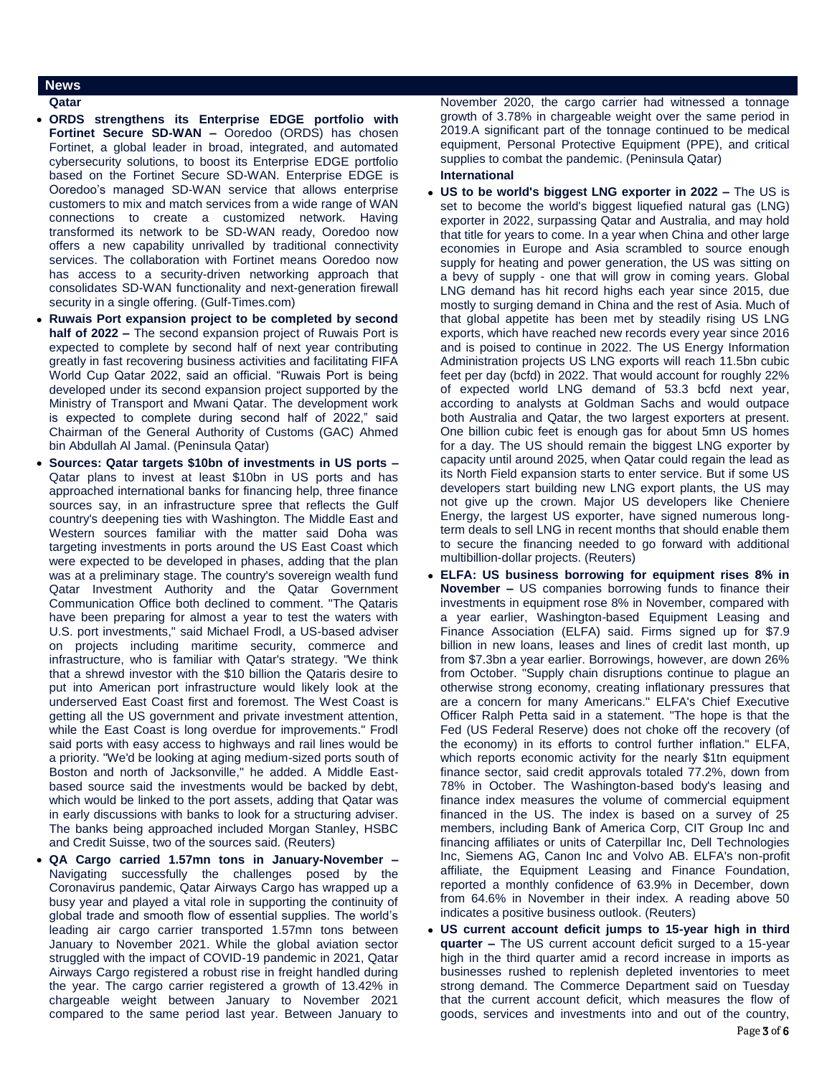## **News**

### **Qatar**

- **ORDS strengthens its Enterprise EDGE portfolio with Fortinet Secure SD-WAN –** Ooredoo (ORDS) has chosen Fortinet, a global leader in broad, integrated, and automated cybersecurity solutions, to boost its Enterprise EDGE portfolio based on the Fortinet Secure SD-WAN. Enterprise EDGE is Ooredoo's managed SD-WAN service that allows enterprise customers to mix and match services from a wide range of WAN connections to create a customized network. Having transformed its network to be SD-WAN ready, Ooredoo now offers a new capability unrivalled by traditional connectivity services. The collaboration with Fortinet means Ooredoo now has access to a security-driven networking approach that consolidates SD-WAN functionality and next-generation firewall security in a single offering. (Gulf-Times.com)
- **Ruwais Port expansion project to be completed by second half of 2022 –** The second expansion project of Ruwais Port is expected to complete by second half of next year contributing greatly in fast recovering business activities and facilitating FIFA World Cup Qatar 2022, said an official. "Ruwais Port is being developed under its second expansion project supported by the Ministry of Transport and Mwani Qatar. The development work is expected to complete during second half of 2022," said Chairman of the General Authority of Customs (GAC) Ahmed bin Abdullah Al Jamal. (Peninsula Qatar)
- **Sources: Qatar targets \$10bn of investments in US ports –** Qatar plans to invest at least \$10bn in US ports and has approached international banks for financing help, three finance sources say, in an infrastructure spree that reflects the Gulf country's deepening ties with Washington. The Middle East and Western sources familiar with the matter said Doha was targeting investments in ports around the US East Coast which were expected to be developed in phases, adding that the plan was at a preliminary stage. The country's sovereign wealth fund Qatar Investment Authority and the Qatar Government Communication Office both declined to comment. "The Qataris have been preparing for almost a year to test the waters with U.S. port investments," said Michael Frodl, a US-based adviser on projects including maritime security, commerce and infrastructure, who is familiar with Qatar's strategy. "We think that a shrewd investor with the \$10 billion the Qataris desire to put into American port infrastructure would likely look at the underserved East Coast first and foremost. The West Coast is getting all the US government and private investment attention, while the East Coast is long overdue for improvements." Frodl said ports with easy access to highways and rail lines would be a priority. "We'd be looking at aging medium-sized ports south of Boston and north of Jacksonville," he added. A Middle Eastbased source said the investments would be backed by debt, which would be linked to the port assets, adding that Qatar was in early discussions with banks to look for a structuring adviser. The banks being approached included Morgan Stanley, HSBC and Credit Suisse, two of the sources said. (Reuters)
- **QA Cargo carried 1.57mn tons in January-November –** Navigating successfully the challenges posed by the Coronavirus pandemic, Qatar Airways Cargo has wrapped up a busy year and played a vital role in supporting the continuity of global trade and smooth flow of essential supplies. The world's leading air cargo carrier transported 1.57mn tons between January to November 2021. While the global aviation sector struggled with the impact of COVID-19 pandemic in 2021, Qatar Airways Cargo registered a robust rise in freight handled during the year. The cargo carrier registered a growth of 13.42% in chargeable weight between January to November 2021 compared to the same period last year. Between January to

November 2020, the cargo carrier had witnessed a tonnage growth of 3.78% in chargeable weight over the same period in 2019.A significant part of the tonnage continued to be medical equipment, Personal Protective Equipment (PPE), and critical supplies to combat the pandemic. (Peninsula Qatar)

### **International US to be world's biggest LNG exporter in 2022 –** The US is set to become the world's biggest liquefied natural gas (LNG) exporter in 2022, surpassing Qatar and Australia, and may hold that title for years to come. In a year when China and other large economies in Europe and Asia scrambled to source enough supply for heating and power generation, the US was sitting on a bevy of supply - one that will grow in coming years. Global LNG demand has hit record highs each year since 2015, due mostly to surging demand in China and the rest of Asia. Much of that global appetite has been met by steadily rising US LNG exports, which have reached new records every year since 2016 and is poised to continue in 2022. The US Energy Information Administration projects US LNG exports will reach 11.5bn cubic feet per day (bcfd) in 2022. That would account for roughly 22% of expected world LNG demand of 53.3 bcfd next year, according to analysts at Goldman Sachs and would outpace both Australia and Qatar, the two largest exporters at present. One billion cubic feet is enough gas for about 5mn US homes for a day. The US should remain the biggest LNG exporter by

- capacity until around 2025, when Qatar could regain the lead as its North Field expansion starts to enter service. But if some US developers start building new LNG export plants, the US may not give up the crown. Major US developers like Cheniere Energy, the largest US exporter, have signed numerous longterm deals to sell LNG in recent months that should enable them to secure the financing needed to go forward with additional multibillion-dollar projects. (Reuters)
- **ELFA: US business borrowing for equipment rises 8% in November –** US companies borrowing funds to finance their investments in equipment rose 8% in November, compared with a year earlier, Washington-based Equipment Leasing and Finance Association (ELFA) said. Firms signed up for \$7.9 billion in new loans, leases and lines of credit last month, up from \$7.3bn a year earlier. Borrowings, however, are down 26% from October. "Supply chain disruptions continue to plague an otherwise strong economy, creating inflationary pressures that are a concern for many Americans." ELFA's Chief Executive Officer Ralph Petta said in a statement. "The hope is that the Fed (US Federal Reserve) does not choke off the recovery (of the economy) in its efforts to control further inflation." ELFA, which reports economic activity for the nearly \$1tn equipment finance sector, said credit approvals totaled 77.2%, down from 78% in October. The Washington-based body's leasing and finance index measures the volume of commercial equipment financed in the US. The index is based on a survey of 25 members, including Bank of America Corp, CIT Group Inc and financing affiliates or units of Caterpillar Inc, Dell Technologies Inc, Siemens AG, Canon Inc and Volvo AB. ELFA's non-profit affiliate, the Equipment Leasing and Finance Foundation, reported a monthly confidence of 63.9% in December, down from 64.6% in November in their index. A reading above 50 indicates a positive business outlook. (Reuters)
- **US current account deficit jumps to 15-year high in third quarter –** The US current account deficit surged to a 15-year high in the third quarter amid a record increase in imports as businesses rushed to replenish depleted inventories to meet strong demand. The Commerce Department said on Tuesday that the current account deficit, which measures the flow of goods, services and investments into and out of the country,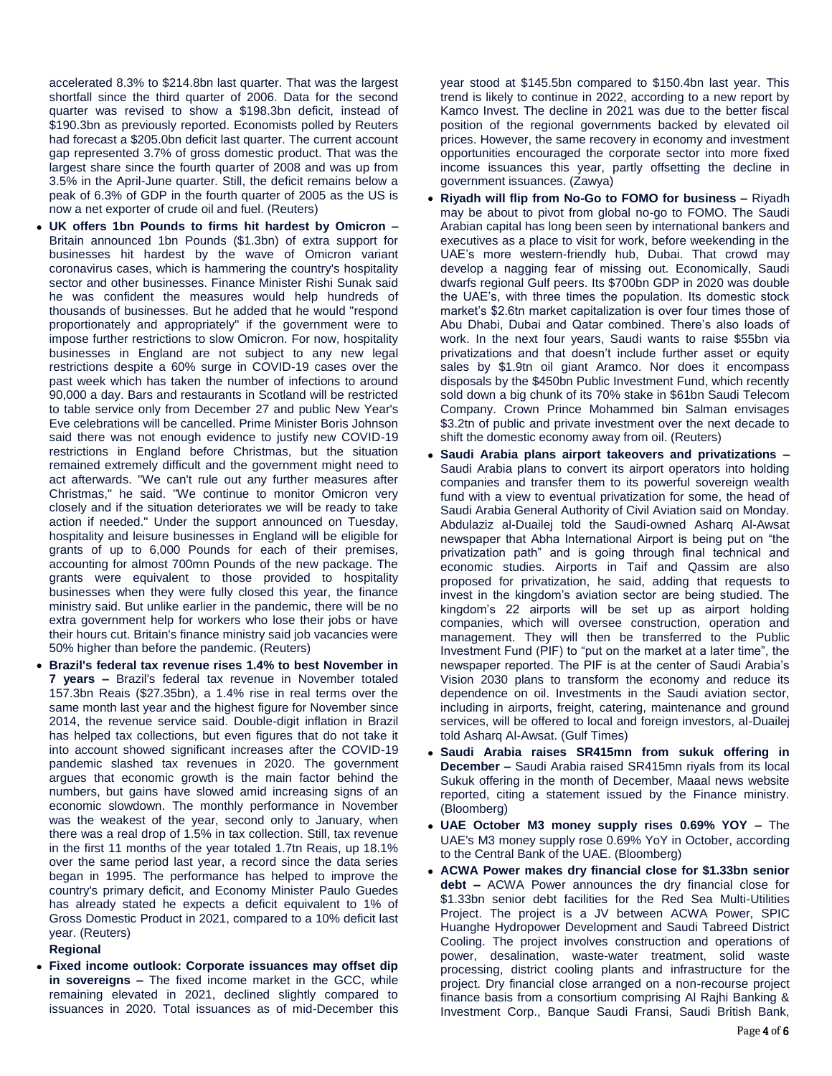accelerated 8.3% to \$214.8bn last quarter. That was the largest shortfall since the third quarter of 2006. Data for the second quarter was revised to show a \$198.3bn deficit, instead of \$190.3bn as previously reported. Economists polled by Reuters had forecast a \$205.0bn deficit last quarter. The current account gap represented 3.7% of gross domestic product. That was the largest share since the fourth quarter of 2008 and was up from 3.5% in the April-June quarter. Still, the deficit remains below a peak of 6.3% of GDP in the fourth quarter of 2005 as the US is now a net exporter of crude oil and fuel. (Reuters)

- **UK offers 1bn Pounds to firms hit hardest by Omicron –** Britain announced 1bn Pounds (\$1.3bn) of extra support for businesses hit hardest by the wave of Omicron variant coronavirus cases, which is hammering the country's hospitality sector and other businesses. Finance Minister Rishi Sunak said he was confident the measures would help hundreds of thousands of businesses. But he added that he would "respond proportionately and appropriately" if the government were to impose further restrictions to slow Omicron. For now, hospitality businesses in England are not subject to any new legal restrictions despite a 60% surge in COVID-19 cases over the past week which has taken the number of infections to around 90,000 a day. Bars and restaurants in Scotland will be restricted to table service only from December 27 and public New Year's Eve celebrations will be cancelled. Prime Minister Boris Johnson said there was not enough evidence to justify new COVID-19 restrictions in England before Christmas, but the situation remained extremely difficult and the government might need to act afterwards. "We can't rule out any further measures after Christmas," he said. "We continue to monitor Omicron very closely and if the situation deteriorates we will be ready to take action if needed." Under the support announced on Tuesday, hospitality and leisure businesses in England will be eligible for grants of up to 6,000 Pounds for each of their premises, accounting for almost 700mn Pounds of the new package. The grants were equivalent to those provided to hospitality businesses when they were fully closed this year, the finance ministry said. But unlike earlier in the pandemic, there will be no extra government help for workers who lose their jobs or have their hours cut. Britain's finance ministry said job vacancies were 50% higher than before the pandemic. (Reuters)
- **Brazil's federal tax revenue rises 1.4% to best November in 7 years –** Brazil's federal tax revenue in November totaled 157.3bn Reais (\$27.35bn), a 1.4% rise in real terms over the same month last year and the highest figure for November since 2014, the revenue service said. Double-digit inflation in Brazil has helped tax collections, but even figures that do not take it into account showed significant increases after the COVID-19 pandemic slashed tax revenues in 2020. The government argues that economic growth is the main factor behind the numbers, but gains have slowed amid increasing signs of an economic slowdown. The monthly performance in November was the weakest of the year, second only to January, when there was a real drop of 1.5% in tax collection. Still, tax revenue in the first 11 months of the year totaled 1.7tn Reais, up 18.1% over the same period last year, a record since the data series began in 1995. The performance has helped to improve the country's primary deficit, and Economy Minister Paulo Guedes has already stated he expects a deficit equivalent to 1% of Gross Domestic Product in 2021, compared to a 10% deficit last year. (Reuters)

## **Regional**

 **Fixed income outlook: Corporate issuances may offset dip in sovereigns –** The fixed income market in the GCC, while remaining elevated in 2021, declined slightly compared to issuances in 2020. Total issuances as of mid-December this

year stood at \$145.5bn compared to \$150.4bn last year. This trend is likely to continue in 2022, according to a new report by Kamco Invest. The decline in 2021 was due to the better fiscal position of the regional governments backed by elevated oil prices. However, the same recovery in economy and investment opportunities encouraged the corporate sector into more fixed income issuances this year, partly offsetting the decline in government issuances. (Zawya)

- **Riyadh will flip from No-Go to FOMO for business –** Riyadh may be about to pivot from global no-go to FOMO. The Saudi Arabian capital has long been seen by international bankers and executives as a place to visit for work, before weekending in the UAE's more western-friendly hub, Dubai. That crowd may develop a nagging fear of missing out. Economically, Saudi dwarfs regional Gulf peers. Its \$700bn GDP in 2020 was double the UAE's, with three times the population. Its domestic stock market's \$2.6tn market capitalization is over four times those of Abu Dhabi, Dubai and Qatar combined. There's also loads of work. In the next four years, Saudi wants to raise \$55bn via privatizations and that doesn't include further asset or equity sales by \$1.9tn oil giant Aramco. Nor does it encompass disposals by the \$450bn Public Investment Fund, which recently sold down a big chunk of its 70% stake in \$61bn Saudi Telecom Company. Crown Prince Mohammed bin Salman envisages \$3.2tn of public and private investment over the next decade to shift the domestic economy away from oil. (Reuters)
- **Saudi Arabia plans airport takeovers and privatizations –** Saudi Arabia plans to convert its airport operators into holding companies and transfer them to its powerful sovereign wealth fund with a view to eventual privatization for some, the head of Saudi Arabia General Authority of Civil Aviation said on Monday. Abdulaziz al-Duailej told the Saudi-owned Asharq Al-Awsat newspaper that Abha International Airport is being put on "the privatization path" and is going through final technical and economic studies. Airports in Taif and Qassim are also proposed for privatization, he said, adding that requests to invest in the kingdom's aviation sector are being studied. The kingdom's 22 airports will be set up as airport holding companies, which will oversee construction, operation and management. They will then be transferred to the Public Investment Fund (PIF) to "put on the market at a later time", the newspaper reported. The PIF is at the center of Saudi Arabia's Vision 2030 plans to transform the economy and reduce its dependence on oil. Investments in the Saudi aviation sector, including in airports, freight, catering, maintenance and ground services, will be offered to local and foreign investors, al-Duailej told Asharq Al-Awsat. (Gulf Times)
- **Saudi Arabia raises SR415mn from sukuk offering in December –** Saudi Arabia raised SR415mn riyals from its local Sukuk offering in the month of December, Maaal news website reported, citing a statement issued by the Finance ministry. (Bloomberg)
- **UAE October M3 money supply rises 0.69% YOY –** The UAE's M3 money supply rose 0.69% YoY in October, according to the Central Bank of the UAE. (Bloomberg)
- **ACWA Power makes dry financial close for \$1.33bn senior debt –** ACWA Power announces the dry financial close for \$1.33bn senior debt facilities for the Red Sea Multi-Utilities Project. The project is a JV between ACWA Power, SPIC Huanghe Hydropower Development and Saudi Tabreed District Cooling. The project involves construction and operations of power, desalination, waste-water treatment, solid waste processing, district cooling plants and infrastructure for the project. Dry financial close arranged on a non-recourse project finance basis from a consortium comprising Al Rajhi Banking & Investment Corp., Banque Saudi Fransi, Saudi British Bank,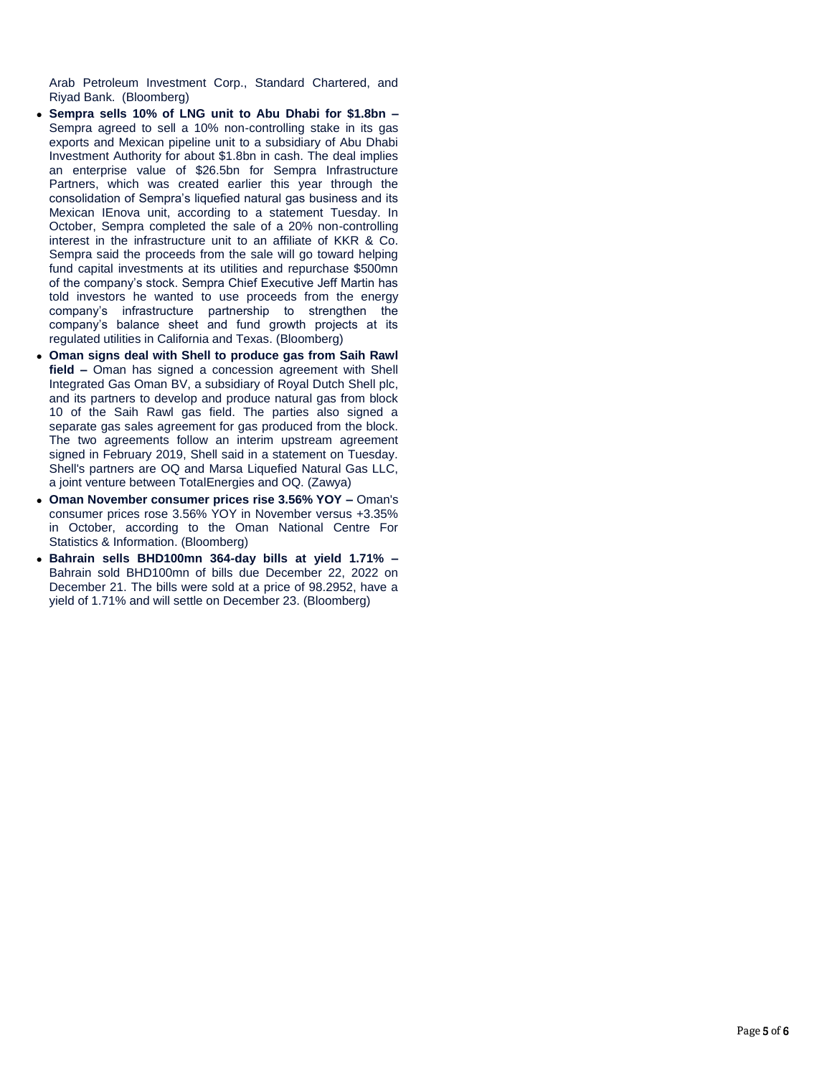Arab Petroleum Investment Corp., Standard Chartered, and Riyad Bank. (Bloomberg)

- **Sempra sells 10% of LNG unit to Abu Dhabi for \$1.8bn –** Sempra agreed to sell a 10% non-controlling stake in its gas exports and Mexican pipeline unit to a subsidiary of Abu Dhabi Investment Authority for about \$1.8bn in cash. The deal implies an enterprise value of \$26.5bn for Sempra Infrastructure Partners, which was created earlier this year through the consolidation of Sempra's liquefied natural gas business and its Mexican IEnova unit, according to a statement Tuesday. In October, Sempra completed the sale of a 20% non-controlling interest in the infrastructure unit to an affiliate of KKR & Co. Sempra said the proceeds from the sale will go toward helping fund capital investments at its utilities and repurchase \$500mn of the company's stock. Sempra Chief Executive Jeff Martin has told investors he wanted to use proceeds from the energy company's infrastructure partnership to strengthen the company's balance sheet and fund growth projects at its regulated utilities in California and Texas. (Bloomberg)
- **Oman signs deal with Shell to produce gas from Saih Rawl field –** Oman has signed a concession agreement with Shell Integrated Gas Oman BV, a subsidiary of Royal Dutch Shell plc, and its partners to develop and produce natural gas from block 10 of the Saih Rawl gas field. The parties also signed a separate gas sales agreement for gas produced from the block. The two agreements follow an interim upstream agreement signed in February 2019, Shell said in a statement on Tuesday. Shell's partners are OQ and Marsa Liquefied Natural Gas LLC, a joint venture between TotalEnergies and OQ. (Zawya)
- **Oman November consumer prices rise 3.56% YOY –** Oman's consumer prices rose 3.56% YOY in November versus +3.35% in October, according to the Oman National Centre For Statistics & Information. (Bloomberg)
- **Bahrain sells BHD100mn 364-day bills at yield 1.71% –** Bahrain sold BHD100mn of bills due December 22, 2022 on December 21. The bills were sold at a price of 98.2952, have a yield of 1.71% and will settle on December 23. (Bloomberg)